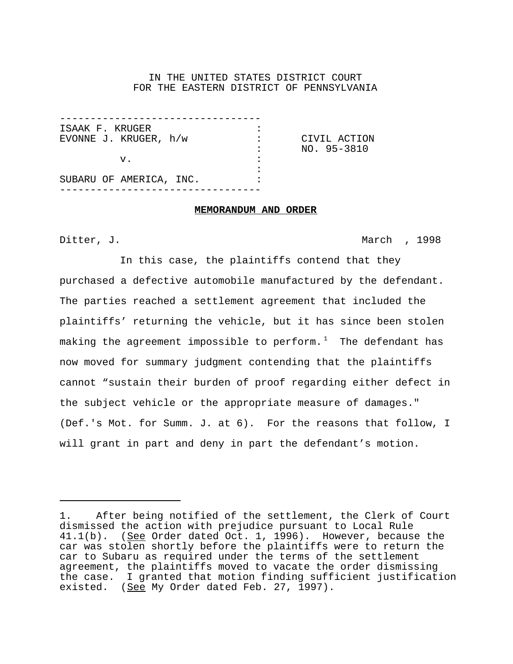# IN THE UNITED STATES DISTRICT COURT FOR THE EASTERN DISTRICT OF PENNSYLVANIA

| ISAAK F. KRUGER         |              |
|-------------------------|--------------|
| EVONNE J. KRUGER, h/w   | CIVIL ACTION |
|                         | NO. 95-3810  |
| $V_{\bullet}$           |              |
|                         |              |
| SUBARU OF AMERICA, INC. |              |
|                         |              |

#### **MEMORANDUM AND ORDER**

Ditter, J. March , 1998

In this case, the plaintiffs contend that they purchased a defective automobile manufactured by the defendant. The parties reached a settlement agreement that included the plaintiffs' returning the vehicle, but it has since been stolen making the agreement impossible to perform. $^{\mathrm{1}}$  The defendant has now moved for summary judgment contending that the plaintiffs cannot "sustain their burden of proof regarding either defect in the subject vehicle or the appropriate measure of damages." (Def.'s Mot. for Summ. J. at 6). For the reasons that follow, I will grant in part and deny in part the defendant's motion.

<sup>1.</sup> After being notified of the settlement, the Clerk of Court dismissed the action with prejudice pursuant to Local Rule 41.1(b). (See Order dated Oct. 1, 1996). However, because the car was stolen shortly before the plaintiffs were to return the car to Subaru as required under the terms of the settlement agreement, the plaintiffs moved to vacate the order dismissing the case. I granted that motion finding sufficient justification existed. (See My Order dated Feb. 27, 1997).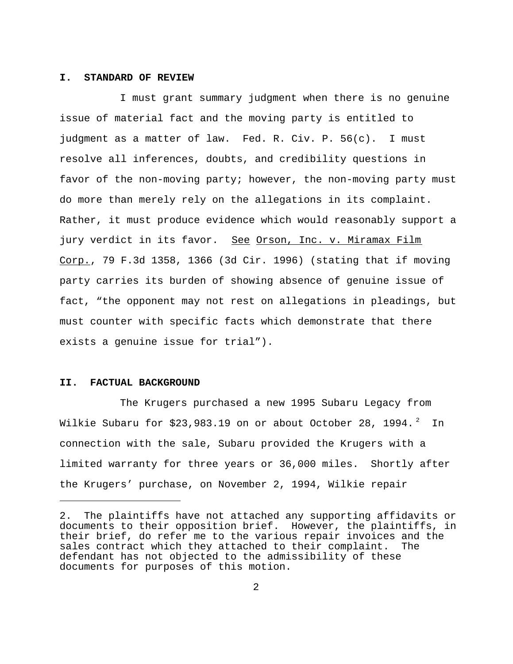### **I. STANDARD OF REVIEW**

I must grant summary judgment when there is no genuine issue of material fact and the moving party is entitled to judgment as a matter of law. Fed. R. Civ. P. 56(c). I must resolve all inferences, doubts, and credibility questions in favor of the non-moving party; however, the non-moving party must do more than merely rely on the allegations in its complaint. Rather, it must produce evidence which would reasonably support a jury verdict in its favor. See Orson, Inc. v. Miramax Film Corp., 79 F.3d 1358, 1366 (3d Cir. 1996) (stating that if moving party carries its burden of showing absence of genuine issue of fact, "the opponent may not rest on allegations in pleadings, but must counter with specific facts which demonstrate that there exists a genuine issue for trial").

### **II. FACTUAL BACKGROUND**

The Krugers purchased a new 1995 Subaru Legacy from Wilkie Subaru for \$23,983.19 on or about October 28, 1994. $^{\text{2}}$  In connection with the sale, Subaru provided the Krugers with a limited warranty for three years or 36,000 miles. Shortly after the Krugers' purchase, on November 2, 1994, Wilkie repair

<sup>2.</sup> The plaintiffs have not attached any supporting affidavits or documents to their opposition brief. However, the plaintiffs, in their brief, do refer me to the various repair invoices and the sales contract which they attached to their complaint. The defendant has not objected to the admissibility of these documents for purposes of this motion.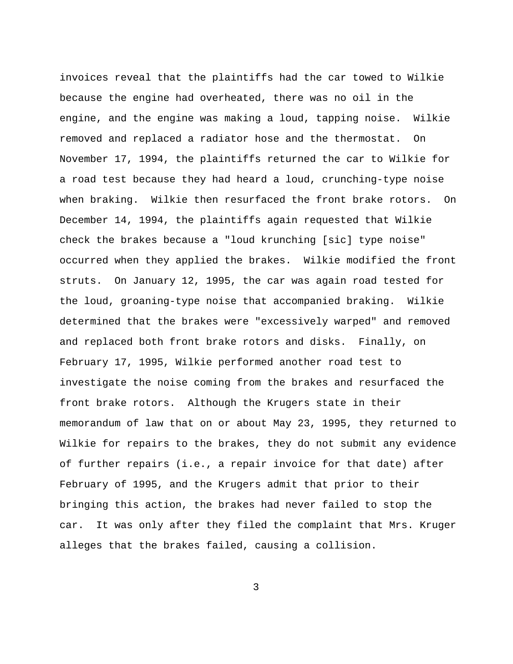invoices reveal that the plaintiffs had the car towed to Wilkie because the engine had overheated, there was no oil in the engine, and the engine was making a loud, tapping noise. Wilkie removed and replaced a radiator hose and the thermostat. On November 17, 1994, the plaintiffs returned the car to Wilkie for a road test because they had heard a loud, crunching-type noise when braking. Wilkie then resurfaced the front brake rotors. On December 14, 1994, the plaintiffs again requested that Wilkie check the brakes because a "loud krunching [sic] type noise" occurred when they applied the brakes. Wilkie modified the front struts. On January 12, 1995, the car was again road tested for the loud, groaning-type noise that accompanied braking. Wilkie determined that the brakes were "excessively warped" and removed and replaced both front brake rotors and disks. Finally, on February 17, 1995, Wilkie performed another road test to investigate the noise coming from the brakes and resurfaced the front brake rotors. Although the Krugers state in their memorandum of law that on or about May 23, 1995, they returned to Wilkie for repairs to the brakes, they do not submit any evidence of further repairs (i.e., a repair invoice for that date) after February of 1995, and the Krugers admit that prior to their bringing this action, the brakes had never failed to stop the car. It was only after they filed the complaint that Mrs. Kruger alleges that the brakes failed, causing a collision.

3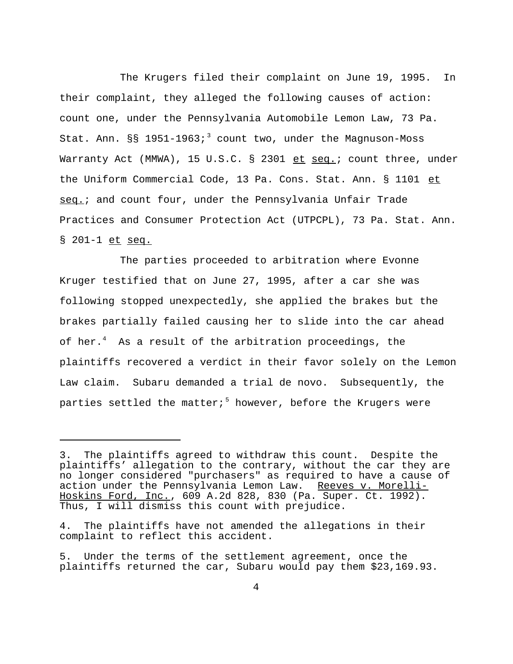The Krugers filed their complaint on June 19, 1995. In their complaint, they alleged the following causes of action: count one, under the Pennsylvania Automobile Lemon Law, 73 Pa. Stat. Ann.  $\S$ § 1951-1963;<sup>3</sup> count two, under the Magnuson-Moss Warranty Act (MMWA), 15 U.S.C. § 2301 et seq.; count three, under the Uniform Commercial Code, 13 Pa. Cons. Stat. Ann. § 1101 et seq.; and count four, under the Pennsylvania Unfair Trade Practices and Consumer Protection Act (UTPCPL), 73 Pa. Stat. Ann. § 201-1 et seq.

The parties proceeded to arbitration where Evonne Kruger testified that on June 27, 1995, after a car she was following stopped unexpectedly, she applied the brakes but the brakes partially failed causing her to slide into the car ahead of her.<sup>4</sup> As a result of the arbitration proceedings, the plaintiffs recovered a verdict in their favor solely on the Lemon Law claim. Subaru demanded a trial de novo. Subsequently, the parties settled the matter; $^5$  however, before the Krugers were

<sup>3.</sup> The plaintiffs agreed to withdraw this count. Despite the plaintiffs' allegation to the contrary, without the car they are no longer considered "purchasers" as required to have a cause of action under the Pennsylvania Lemon Law. Reeves v. Morelli-Hoskins Ford, Inc., 609 A.2d 828, 830 (Pa. Super. Ct. 1992). Thus, I will dismiss this count with prejudice.

<sup>4.</sup> The plaintiffs have not amended the allegations in their complaint to reflect this accident.

<sup>5.</sup> Under the terms of the settlement agreement, once the plaintiffs returned the car, Subaru would pay them \$23,169.93.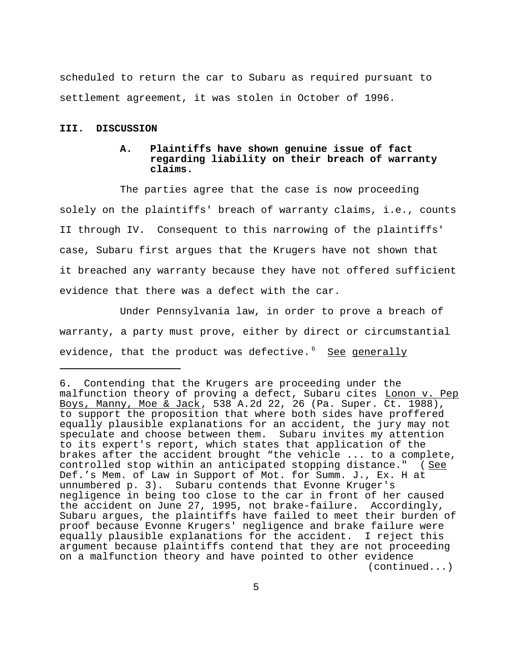scheduled to return the car to Subaru as required pursuant to settlement agreement, it was stolen in October of 1996.

### **III. DISCUSSION**

# **A. Plaintiffs have shown genuine issue of fact regarding liability on their breach of warranty claims.**

The parties agree that the case is now proceeding solely on the plaintiffs' breach of warranty claims, i.e., counts II through IV. Consequent to this narrowing of the plaintiffs' case, Subaru first argues that the Krugers have not shown that it breached any warranty because they have not offered sufficient evidence that there was a defect with the car.

Under Pennsylvania law, in order to prove a breach of warranty, a party must prove, either by direct or circumstantial evidence, that the product was defective.<sup>6</sup> See generally

<sup>6.</sup> Contending that the Krugers are proceeding under the malfunction theory of proving a defect, Subaru cites Lonon v. Pep Boys, Manny, Moe & Jack, 538 A.2d 22, 26 (Pa. Super. Ct. 1988), to support the proposition that where both sides have proffered equally plausible explanations for an accident, the jury may not speculate and choose between them. Subaru invites my attention to its expert's report, which states that application of the brakes after the accident brought "the vehicle ... to a complete, controlled stop within an anticipated stopping distance." (See Def.'s Mem. of Law in Support of Mot. for Summ. J., Ex. H at unnumbered p. 3). Subaru contends that Evonne Kruger's negligence in being too close to the car in front of her caused the accident on June 27, 1995, not brake-failure. Accordingly, Subaru argues, the plaintiffs have failed to meet their burden of proof because Evonne Krugers' negligence and brake failure were equally plausible explanations for the accident. I reject this argument because plaintiffs contend that they are not proceeding on a malfunction theory and have pointed to other evidence (continued...)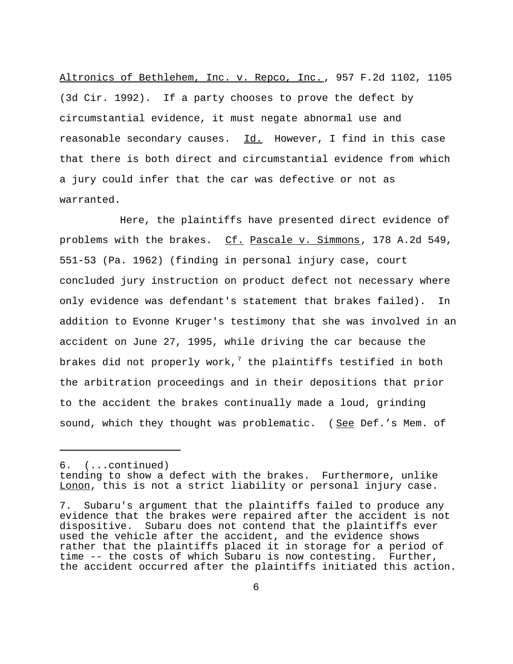Altronics of Bethlehem, Inc. v. Repco, Inc., 957 F.2d 1102, 1105 (3d Cir. 1992). If a party chooses to prove the defect by circumstantial evidence, it must negate abnormal use and reasonable secondary causes. Id. However, I find in this case that there is both direct and circumstantial evidence from which a jury could infer that the car was defective or not as warranted.

Here, the plaintiffs have presented direct evidence of problems with the brakes. Cf. Pascale v. Simmons, 178 A.2d 549, 551-53 (Pa. 1962) (finding in personal injury case, court concluded jury instruction on product defect not necessary where only evidence was defendant's statement that brakes failed). In addition to Evonne Kruger's testimony that she was involved in an accident on June 27, 1995, while driving the car because the brakes did not properly work, $^7$  the plaintiffs testified in both the arbitration proceedings and in their depositions that prior to the accident the brakes continually made a loud, grinding sound, which they thought was problematic. (See Def.'s Mem. of

<sup>6. (...</sup>continued)

tending to show a defect with the brakes. Furthermore, unlike Lonon, this is not a strict liability or personal injury case.

<sup>7.</sup> Subaru's argument that the plaintiffs failed to produce any evidence that the brakes were repaired after the accident is not dispositive. Subaru does not contend that the plaintiffs ever used the vehicle after the accident, and the evidence shows rather that the plaintiffs placed it in storage for a period of time -- the costs of which Subaru is now contesting. Further, the accident occurred after the plaintiffs initiated this action.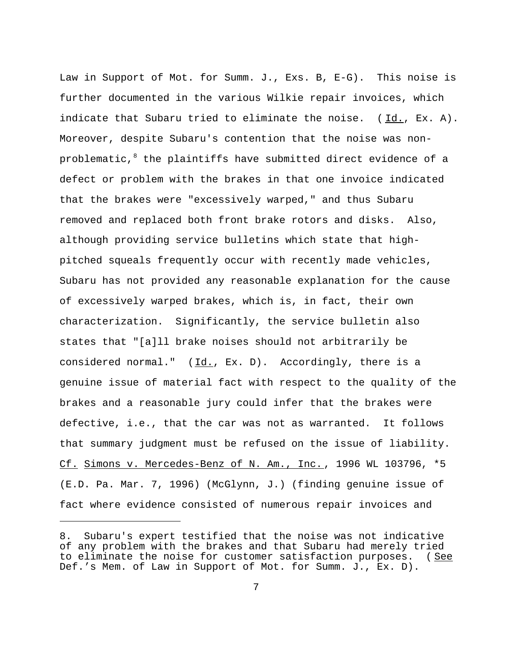Law in Support of Mot. for Summ. J., Exs. B, E-G). This noise is further documented in the various Wilkie repair invoices, which indicate that Subaru tried to eliminate the noise. ( Id., Ex. A). Moreover, despite Subaru's contention that the noise was nonproblematic, $^8$  the plaintiffs have submitted direct evidence of a defect or problem with the brakes in that one invoice indicated that the brakes were "excessively warped," and thus Subaru removed and replaced both front brake rotors and disks. Also, although providing service bulletins which state that highpitched squeals frequently occur with recently made vehicles, Subaru has not provided any reasonable explanation for the cause of excessively warped brakes, which is, in fact, their own characterization. Significantly, the service bulletin also states that "[a]ll brake noises should not arbitrarily be considered normal." (Id., Ex. D). Accordingly, there is a genuine issue of material fact with respect to the quality of the brakes and a reasonable jury could infer that the brakes were defective, i.e., that the car was not as warranted. It follows that summary judgment must be refused on the issue of liability. Cf. Simons v. Mercedes-Benz of N. Am., Inc. , 1996 WL 103796, \*5 (E.D. Pa. Mar. 7, 1996) (McGlynn, J.) (finding genuine issue of fact where evidence consisted of numerous repair invoices and

<sup>8.</sup> Subaru's expert testified that the noise was not indicative of any problem with the brakes and that Subaru had merely tried to eliminate the noise for customer satisfaction purposes. ( See Def.'s Mem. of Law in Support of Mot. for Summ. J., Ex. D).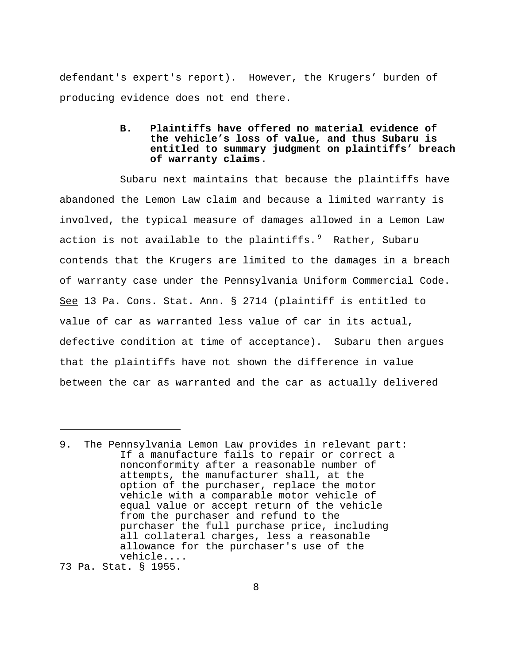defendant's expert's report). However, the Krugers' burden of producing evidence does not end there.

# **B. Plaintiffs have offered no material evidence of the vehicle's loss of value, and thus Subaru is entitled to summary judgment on plaintiffs' breach of warranty claims**.

Subaru next maintains that because the plaintiffs have abandoned the Lemon Law claim and because a limited warranty is involved, the typical measure of damages allowed in a Lemon Law action is not available to the plaintiffs. $^9$  Rather, Subaru contends that the Krugers are limited to the damages in a breach of warranty case under the Pennsylvania Uniform Commercial Code. See 13 Pa. Cons. Stat. Ann. § 2714 (plaintiff is entitled to value of car as warranted less value of car in its actual, defective condition at time of acceptance). Subaru then argues that the plaintiffs have not shown the difference in value between the car as warranted and the car as actually delivered

73 Pa. Stat. § 1955.

<sup>9.</sup> The Pennsylvania Lemon Law provides in relevant part: If a manufacture fails to repair or correct a nonconformity after a reasonable number of attempts, the manufacturer shall, at the option of the purchaser, replace the motor vehicle with a comparable motor vehicle of equal value or accept return of the vehicle from the purchaser and refund to the purchaser the full purchase price, including all collateral charges, less a reasonable allowance for the purchaser's use of the vehicle....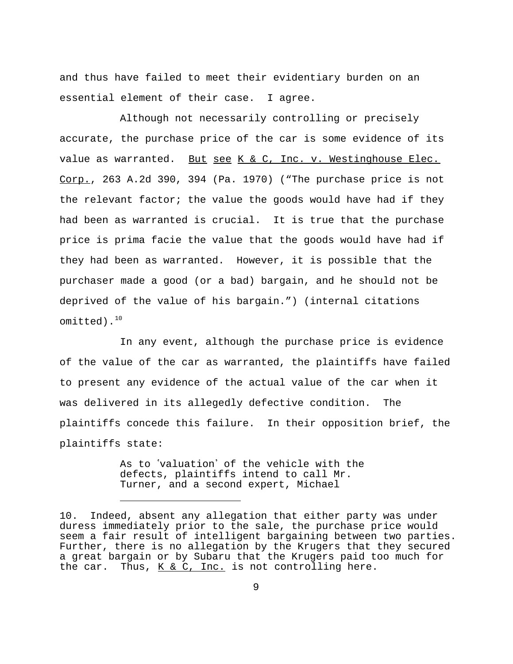and thus have failed to meet their evidentiary burden on an essential element of their case. I agree.

Although not necessarily controlling or precisely accurate, the purchase price of the car is some evidence of its value as warranted. But see K & C, Inc. v. Westinghouse Elec. Corp., 263 A.2d 390, 394 (Pa. 1970) ("The purchase price is not the relevant factor; the value the goods would have had if they had been as warranted is crucial. It is true that the purchase price is prima facie the value that the goods would have had if they had been as warranted. However, it is possible that the purchaser made a good (or a bad) bargain, and he should not be deprived of the value of his bargain.") (internal citations omitted). $^{10}$ 

In any event, although the purchase price is evidence of the value of the car as warranted, the plaintiffs have failed to present any evidence of the actual value of the car when it was delivered in its allegedly defective condition. The plaintiffs concede this failure. In their opposition brief, the plaintiffs state:

> As to 'valuation' of the vehicle with the defects, plaintiffs intend to call Mr. Turner, and a second expert, Michael

<sup>10.</sup> Indeed, absent any allegation that either party was under duress immediately prior to the sale, the purchase price would seem a fair result of intelligent bargaining between two parties. Further, there is no allegation by the Krugers that they secured a great bargain or by Subaru that the Krugers paid too much for the car. Thus,  $K & C$ , Inc. is not controlling here.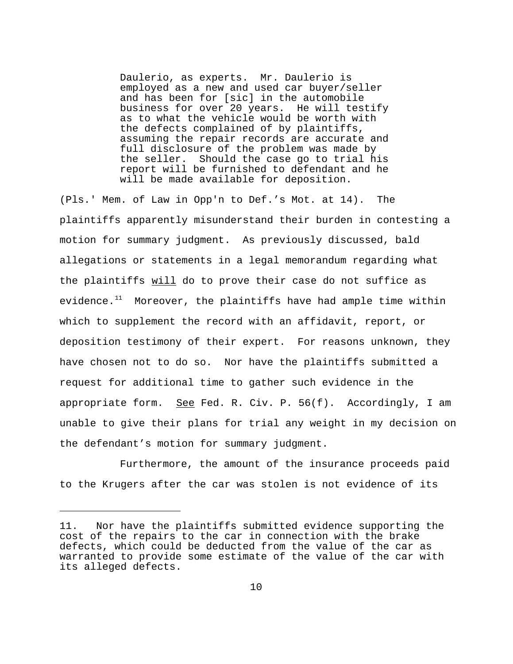Daulerio, as experts. Mr. Daulerio is employed as a new and used car buyer/seller and has been for [sic] in the automobile business for over 20 years. He will testify as to what the vehicle would be worth with the defects complained of by plaintiffs, assuming the repair records are accurate and full disclosure of the problem was made by the seller. Should the case go to trial his report will be furnished to defendant and he will be made available for deposition.

(Pls.' Mem. of Law in Opp'n to Def.'s Mot. at 14). The plaintiffs apparently misunderstand their burden in contesting a motion for summary judgment. As previously discussed, bald allegations or statements in a legal memorandum regarding what the plaintiffs will do to prove their case do not suffice as evidence. $11$  Moreover, the plaintiffs have had ample time within which to supplement the record with an affidavit, report, or deposition testimony of their expert. For reasons unknown, they have chosen not to do so. Nor have the plaintiffs submitted a request for additional time to gather such evidence in the appropriate form. See Fed. R. Civ. P.  $56(f)$ . Accordingly, I am unable to give their plans for trial any weight in my decision on the defendant's motion for summary judgment.

Furthermore, the amount of the insurance proceeds paid to the Krugers after the car was stolen is not evidence of its

<sup>11.</sup> Nor have the plaintiffs submitted evidence supporting the cost of the repairs to the car in connection with the brake defects, which could be deducted from the value of the car as warranted to provide some estimate of the value of the car with its alleged defects.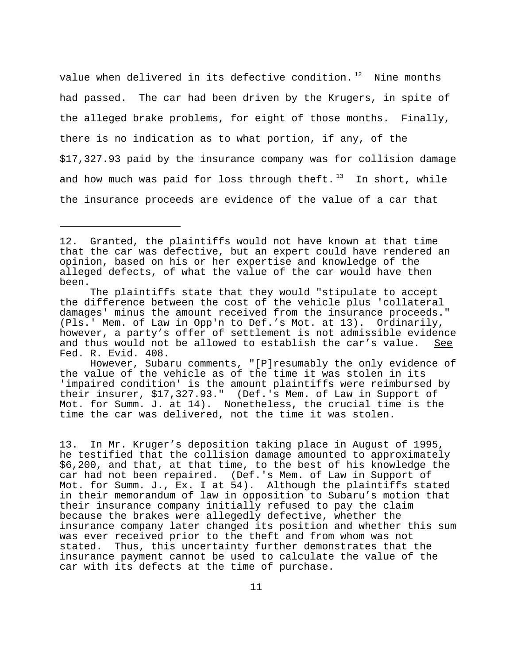value when delivered in its defective condition. $12$  Nine months had passed. The car had been driven by the Krugers, in spite of the alleged brake problems, for eight of those months. Finally, there is no indication as to what portion, if any, of the \$17,327.93 paid by the insurance company was for collision damage and how much was paid for loss through theft.<sup>13</sup> In short, while the insurance proceeds are evidence of the value of a car that

 However, Subaru comments, "[P]resumably the only evidence of the value of the vehicle as of the time it was stolen in its 'impaired condition' is the amount plaintiffs were reimbursed by their insurer, \$17,327.93." (Def.'s Mem. of Law in Support of Mot. for Summ. J. at 14). Nonetheless, the crucial time is the time the car was delivered, not the time it was stolen.

13. In Mr. Kruger's deposition taking place in August of 1995, he testified that the collision damage amounted to approximately \$6,200, and that, at that time, to the best of his knowledge the car had not been repaired. (Def.'s Mem. of Law in Support of Mot. for Summ. J., Ex. I at 54). Although the plaintiffs stated in their memorandum of law in opposition to Subaru's motion that their insurance company initially refused to pay the claim because the brakes were allegedly defective, whether the insurance company later changed its position and whether this sum was ever received prior to the theft and from whom was not stated. Thus, this uncertainty further demonstrates that the insurance payment cannot be used to calculate the value of the car with its defects at the time of purchase.

<sup>12.</sup> Granted, the plaintiffs would not have known at that time that the car was defective, but an expert could have rendered an opinion, based on his or her expertise and knowledge of the alleged defects, of what the value of the car would have then been.

The plaintiffs state that they would "stipulate to accept the difference between the cost of the vehicle plus 'collateral damages' minus the amount received from the insurance proceeds." (Pls.' Mem. of Law in Opp'n to Def.'s Mot. at 13). Ordinarily, however, a party's offer of settlement is not admissible evidence and thus would not be allowed to establish the car's value. See Fed. R. Evid. 408.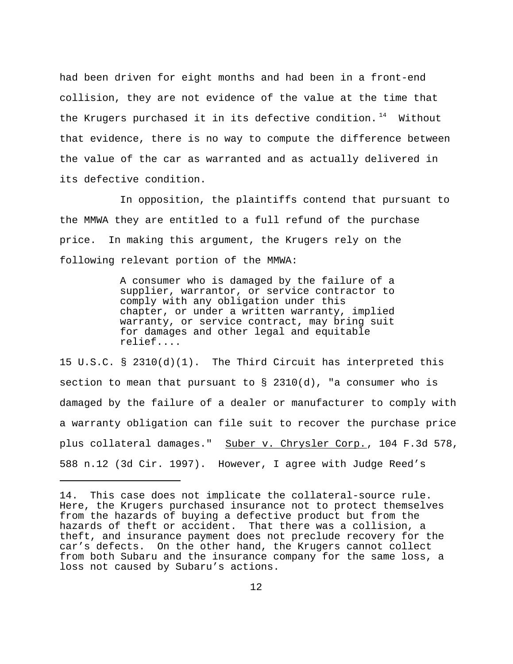had been driven for eight months and had been in a front-end collision, they are not evidence of the value at the time that the Krugers purchased it in its defective condition.  $14$  Without that evidence, there is no way to compute the difference between the value of the car as warranted and as actually delivered in its defective condition.

In opposition, the plaintiffs contend that pursuant to the MMWA they are entitled to a full refund of the purchase price. In making this argument, the Krugers rely on the following relevant portion of the MMWA:

> A consumer who is damaged by the failure of a supplier, warrantor, or service contractor to comply with any obligation under this chapter, or under a written warranty, implied warranty, or service contract, may bring suit for damages and other legal and equitable relief....

15 U.S.C. § 2310(d)(1). The Third Circuit has interpreted this section to mean that pursuant to  $\S$  2310(d), "a consumer who is damaged by the failure of a dealer or manufacturer to comply with a warranty obligation can file suit to recover the purchase price plus collateral damages." Suber v. Chrysler Corp., 104 F.3d 578, 588 n.12 (3d Cir. 1997). However, I agree with Judge Reed's

<sup>14.</sup> This case does not implicate the collateral-source rule. Here, the Krugers purchased insurance not to protect themselves from the hazards of buying a defective product but from the hazards of theft or accident. That there was a collision, a theft, and insurance payment does not preclude recovery for the car's defects. On the other hand, the Krugers cannot collect from both Subaru and the insurance company for the same loss, a loss not caused by Subaru's actions.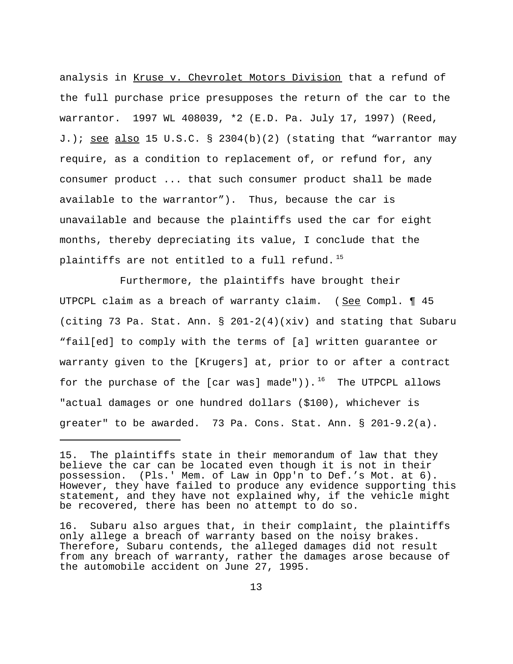analysis in Kruse v. Chevrolet Motors Division that a refund of the full purchase price presupposes the return of the car to the warrantor. 1997 WL 408039, \*2 (E.D. Pa. July 17, 1997) (Reed, J.); see also 15 U.S.C. § 2304(b)(2) (stating that "warrantor may require, as a condition to replacement of, or refund for, any consumer product ... that such consumer product shall be made available to the warrantor"). Thus, because the car is unavailable and because the plaintiffs used the car for eight months, thereby depreciating its value, I conclude that the plaintiffs are not entitled to a full refund.  $15$ 

Furthermore, the plaintiffs have brought their UTPCPL claim as a breach of warranty claim. (See Compl. 145 (citing 73 Pa. Stat. Ann. § 201-2(4)(xiv) and stating that Subaru "fail[ed] to comply with the terms of [a] written guarantee or warranty given to the [Krugers] at, prior to or after a contract for the purchase of the [car was] made")).<sup>16</sup> The UTPCPL allows "actual damages or one hundred dollars (\$100), whichever is greater" to be awarded. 73 Pa. Cons. Stat. Ann. § 201-9.2(a).

<sup>15.</sup> The plaintiffs state in their memorandum of law that they believe the car can be located even though it is not in their possession. (Pls.' Mem. of Law in Opp'n to Def.'s Mot. at 6). However, they have failed to produce any evidence supporting this statement, and they have not explained why, if the vehicle might be recovered, there has been no attempt to do so.

<sup>16.</sup> Subaru also argues that, in their complaint, the plaintiffs only allege a breach of warranty based on the noisy brakes. Therefore, Subaru contends, the alleged damages did not result from any breach of warranty, rather the damages arose because of the automobile accident on June 27, 1995.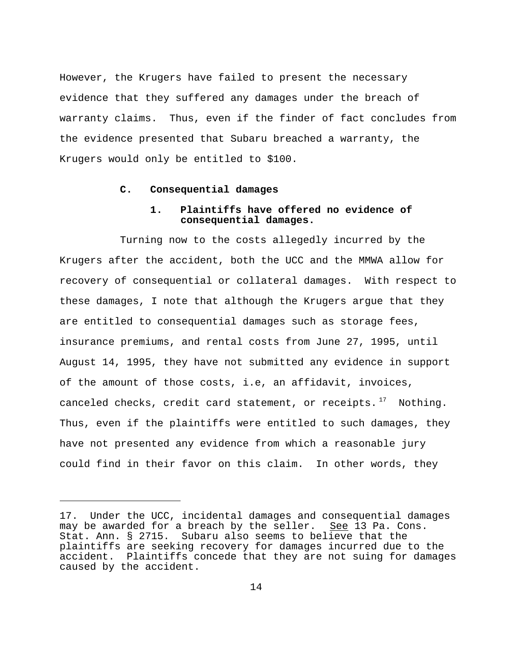However, the Krugers have failed to present the necessary evidence that they suffered any damages under the breach of warranty claims. Thus, even if the finder of fact concludes from the evidence presented that Subaru breached a warranty, the Krugers would only be entitled to \$100.

## **C. Consequential damages**

# **1. Plaintiffs have offered no evidence of consequential damages.**

Turning now to the costs allegedly incurred by the Krugers after the accident, both the UCC and the MMWA allow for recovery of consequential or collateral damages. With respect to these damages, I note that although the Krugers argue that they are entitled to consequential damages such as storage fees, insurance premiums, and rental costs from June 27, 1995, until August 14, 1995, they have not submitted any evidence in support of the amount of those costs, i.e, an affidavit, invoices, canceled checks, credit card statement, or receipts.  $17$  Nothing. Thus, even if the plaintiffs were entitled to such damages, they have not presented any evidence from which a reasonable jury could find in their favor on this claim. In other words, they

<sup>17.</sup> Under the UCC, incidental damages and consequential damages may be awarded for a breach by the seller. See 13 Pa. Cons. Stat. Ann. § 2715. Subaru also seems to believe that the plaintiffs are seeking recovery for damages incurred due to the accident. Plaintiffs concede that they are not suing for damages caused by the accident.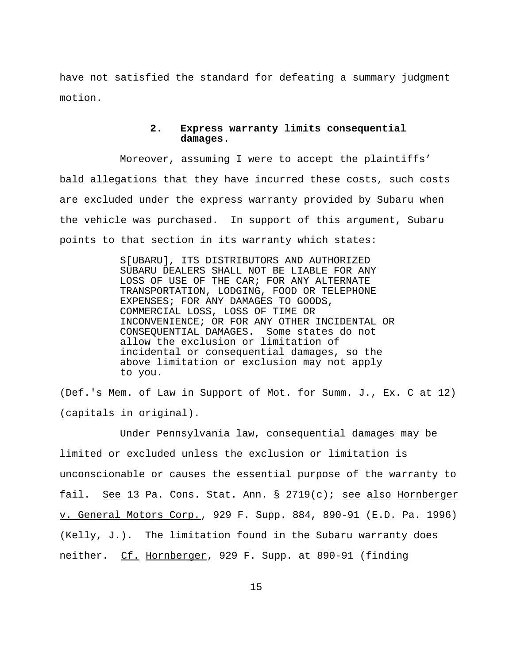have not satisfied the standard for defeating a summary judgment motion.

# **2. Express warranty limits consequential damages**.

Moreover, assuming I were to accept the plaintiffs' bald allegations that they have incurred these costs, such costs are excluded under the express warranty provided by Subaru when the vehicle was purchased. In support of this argument, Subaru points to that section in its warranty which states:

> S[UBARU], ITS DISTRIBUTORS AND AUTHORIZED SUBARU DEALERS SHALL NOT BE LIABLE FOR ANY LOSS OF USE OF THE CAR; FOR ANY ALTERNATE TRANSPORTATION, LODGING, FOOD OR TELEPHONE EXPENSES; FOR ANY DAMAGES TO GOODS, COMMERCIAL LOSS, LOSS OF TIME OR INCONVENIENCE; OR FOR ANY OTHER INCIDENTAL OR CONSEQUENTIAL DAMAGES. Some states do not allow the exclusion or limitation of incidental or consequential damages, so the above limitation or exclusion may not apply to you.

(Def.'s Mem. of Law in Support of Mot. for Summ. J., Ex. C at 12) (capitals in original).

Under Pennsylvania law, consequential damages may be limited or excluded unless the exclusion or limitation is unconscionable or causes the essential purpose of the warranty to fail. See 13 Pa. Cons. Stat. Ann. § 2719(c); see also Hornberger v. General Motors Corp., 929 F. Supp. 884, 890-91 (E.D. Pa. 1996) (Kelly, J.). The limitation found in the Subaru warranty does neither. Cf. Hornberger, 929 F. Supp. at 890-91 (finding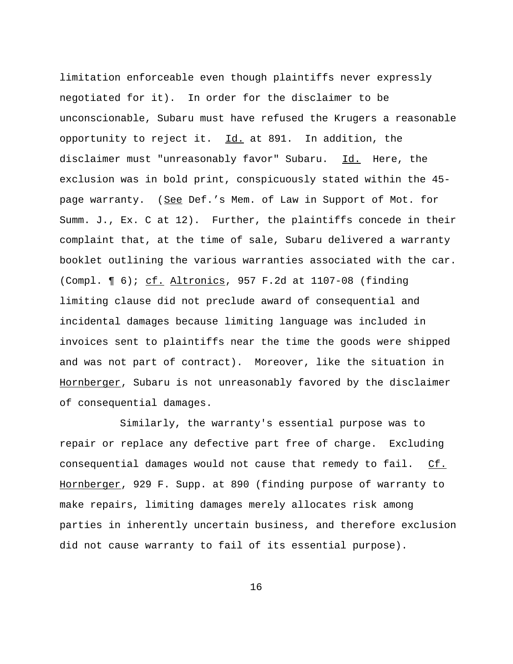limitation enforceable even though plaintiffs never expressly negotiated for it). In order for the disclaimer to be unconscionable, Subaru must have refused the Krugers a reasonable opportunity to reject it. Id. at 891. In addition, the disclaimer must "unreasonably favor" Subaru. Id. Here, the exclusion was in bold print, conspicuously stated within the 45 page warranty. (See Def.'s Mem. of Law in Support of Mot. for Summ. J., Ex. C at 12). Further, the plaintiffs concede in their complaint that, at the time of sale, Subaru delivered a warranty booklet outlining the various warranties associated with the car. (Compl. ¶ 6); cf. Altronics, 957 F.2d at 1107-08 (finding limiting clause did not preclude award of consequential and incidental damages because limiting language was included in invoices sent to plaintiffs near the time the goods were shipped and was not part of contract). Moreover, like the situation in Hornberger, Subaru is not unreasonably favored by the disclaimer of consequential damages.

Similarly, the warranty's essential purpose was to repair or replace any defective part free of charge. Excluding consequential damages would not cause that remedy to fail. Cf. Hornberger, 929 F. Supp. at 890 (finding purpose of warranty to make repairs, limiting damages merely allocates risk among parties in inherently uncertain business, and therefore exclusion did not cause warranty to fail of its essential purpose).

16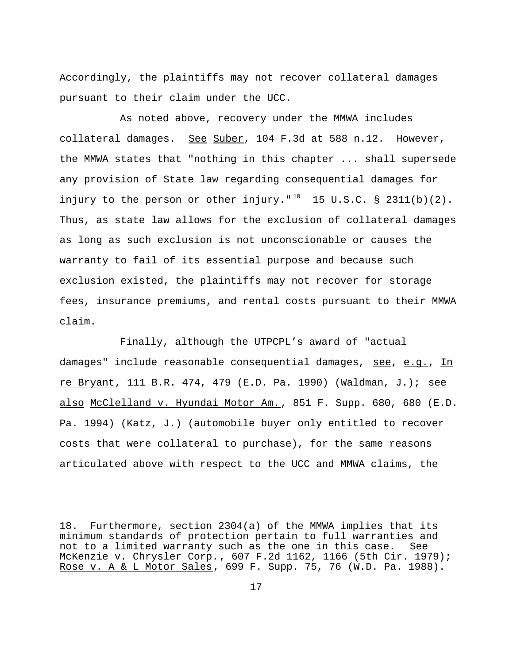Accordingly, the plaintiffs may not recover collateral damages pursuant to their claim under the UCC.

As noted above, recovery under the MMWA includes collateral damages. See Suber, 104 F.3d at 588 n.12. However, the MMWA states that "nothing in this chapter ... shall supersede any provision of State law regarding consequential damages for injury to the person or other injury." $^{18}$  15 U.S.C. § 2311(b)(2). Thus, as state law allows for the exclusion of collateral damages as long as such exclusion is not unconscionable or causes the warranty to fail of its essential purpose and because such exclusion existed, the plaintiffs may not recover for storage fees, insurance premiums, and rental costs pursuant to their MMWA claim.

Finally, although the UTPCPL's award of "actual damages" include reasonable consequential damages, see, e.g., In re Bryant, 111 B.R. 474, 479 (E.D. Pa. 1990) (Waldman, J.); see also McClelland v. Hyundai Motor Am., 851 F. Supp. 680, 680 (E.D. Pa. 1994) (Katz, J.) (automobile buyer only entitled to recover costs that were collateral to purchase), for the same reasons articulated above with respect to the UCC and MMWA claims, the

<sup>18.</sup> Furthermore, section 2304(a) of the MMWA implies that its minimum standards of protection pertain to full warranties and not to a limited warranty such as the one in this case. See McKenzie v. Chrysler Corp., 607 F.2d 1162, 1166 (5th Cir. 1979); Rose v. A & L Motor Sales, 699 F. Supp. 75, 76 (W.D. Pa. 1988).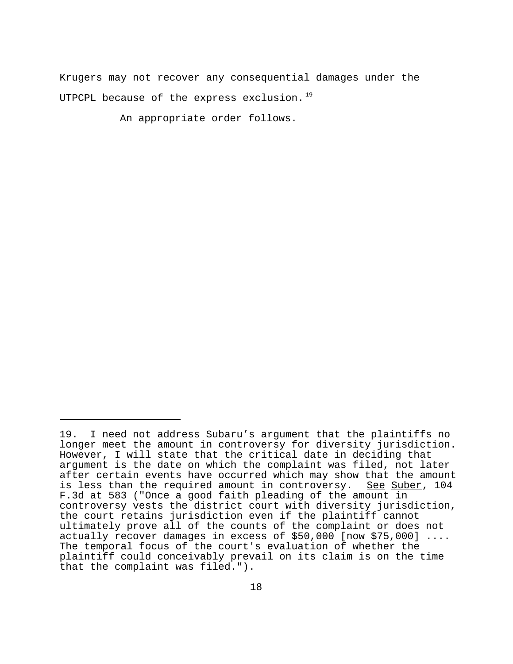Krugers may not recover any consequential damages under the UTPCPL because of the express exclusion.<sup>19</sup>

An appropriate order follows.

<sup>19.</sup> I need not address Subaru's argument that the plaintiffs no longer meet the amount in controversy for diversity jurisdiction. However, I will state that the critical date in deciding that argument is the date on which the complaint was filed, not later after certain events have occurred which may show that the amount is less than the required amount in controversy. See Suber, 104 F.3d at 583 ("Once a good faith pleading of the amount in controversy vests the district court with diversity jurisdiction, the court retains jurisdiction even if the plaintiff cannot ultimately prove all of the counts of the complaint or does not actually recover damages in excess of \$50,000 [now \$75,000] .... The temporal focus of the court's evaluation of whether the plaintiff could conceivably prevail on its claim is on the time that the complaint was filed.").